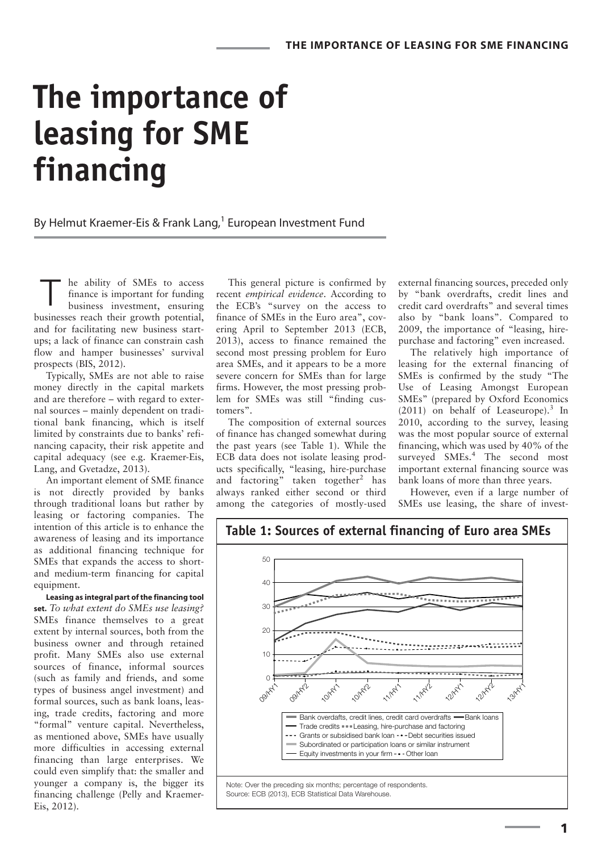# **The importance of leasing for SME financing**

By Helmut Kraemer-Eis & Frank Lang,<sup>1</sup> European Investment Fund

he ability of SMEs to access finance is important for funding business investment, ensuring businesses reach their growth potential, and for facilitating new business startups; a lack of finance can constrain cash flow and hamper businesses' survival prospects (BIS, 2012). T

Typically, SMEs are not able to raise money directly in the capital markets and are therefore – with regard to external sources – mainly dependent on traditional bank financing, which is itself limited by constraints due to banks' refinancing capacity, their risk appetite and capital adequacy (see e.g. Kraemer-Eis, Lang, and Gvetadze, 2013).

An important element of SME finance is not directly provided by banks through traditional loans but rather by leasing or factoring companies. The intention of this article is to enhance the awareness of leasing and its importance as additional financing technique for SMEs that expands the access to shortand medium-term financing for capital equipment.

**Leasing as integral part of the financing tool set.** *To what extent do SMEs use leasing?* SMEs finance themselves to a great extent by internal sources, both from the business owner and through retained profit. Many SMEs also use external sources of finance, informal sources (such as family and friends, and some types of business angel investment) and formal sources, such as bank loans, leasing, trade credits, factoring and more "formal" venture capital. Nevertheless, as mentioned above, SMEs have usually more difficulties in accessing external financing than large enterprises. We could even simplify that: the smaller and younger a company is, the bigger its financing challenge (Pelly and Kraemer-Eis, 2012).

This general picture is confirmed by recent *empirical evidence*. According to the ECB's "survey on the access to finance of SMEs in the Euro area", covering April to September 2013 (ECB, 2013), access to finance remained the second most pressing problem for Euro area SMEs, and it appears to be a more severe concern for SMEs than for large firms. However, the most pressing problem for SMEs was still "finding customers".

The composition of external sources of finance has changed somewhat during the past years (see Table 1). While the ECB data does not isolate leasing products specifically, "leasing, hire-purchase and factoring" taken together<sup>2</sup> has always ranked either second or third among the categories of mostly-used

external financing sources, preceded only by "bank overdrafts, credit lines and credit card overdrafts" and several times also by "bank loans". Compared to 2009, the importance of "leasing, hirepurchase and factoring" even increased.

The relatively high importance of leasing for the external financing of SMEs is confirmed by the study "The Use of Leasing Amongst European SMEs" (prepared by Oxford Economics  $(2011)$  on behalf of Leaseurope).<sup>3</sup> In 2010, according to the survey, leasing was the most popular source of external financing, which was used by 40% of the surveyed SMEs.<sup>4</sup> The second most important external financing source was bank loans of more than three years.

However, even if a large number of SMEs use leasing, the share of invest-





**Table 1: Sources of external financing of Euro area SMEs**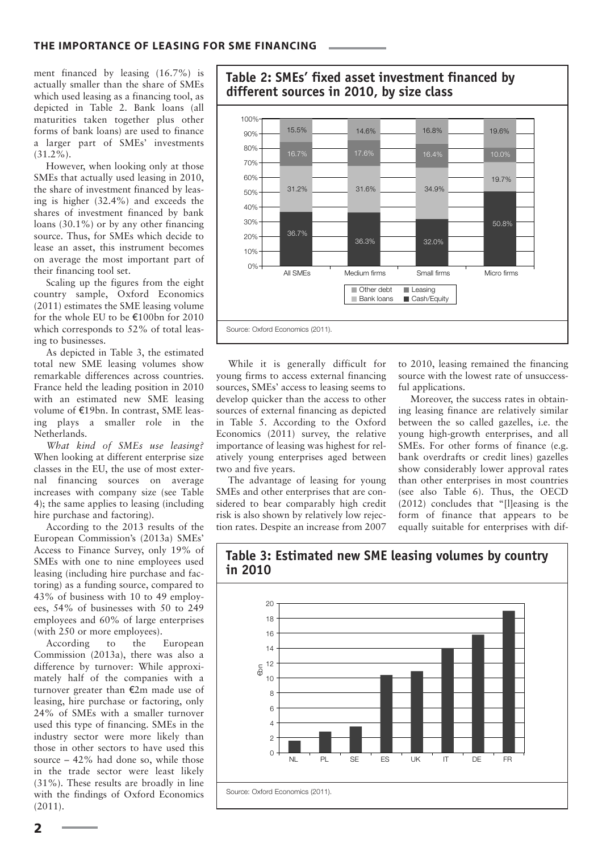ment financed by leasing (16.7%) is actually smaller than the share of SMEs which used leasing as a financing tool, as depicted in Table 2. Bank loans (all maturities taken together plus other forms of bank loans) are used to finance a larger part of SMEs' investments  $(31.2\%)$ .

However, when looking only at those SMEs that actually used leasing in 2010, the share of investment financed by leasing is higher (32.4%) and exceeds the shares of investment financed by bank loans (30.1%) or by any other financing source. Thus, for SMEs which decide to lease an asset, this instrument becomes on average the most important part of their financing tool set.

Scaling up the figures from the eight country sample, Oxford Economics (2011) estimates the SME leasing volume for the whole EU to be  $\epsilon$ 100bn for 2010 which corresponds to 52% of total leasing to businesses.

As depicted in Table 3, the estimated total new SME leasing volumes show remarkable differences across countries. France held the leading position in 2010 with an estimated new SME leasing volume of €19bn. In contrast, SME leasing plays a smaller role in the Netherlands.

*What kind of SMEs use leasing?* When looking at different enterprise size classes in the EU, the use of most external financing sources on average increases with company size (see Table 4); the same applies to leasing (including hire purchase and factoring).

According to the 2013 results of the European Commission's (2013a) SMEs' Access to Finance Survey, only 19% of SMEs with one to nine employees used leasing (including hire purchase and factoring) as a funding source, compared to 43% of business with 10 to 49 employees, 54% of businesses with 50 to 249 employees and 60% of large enterprises (with 250 or more employees).

According to the European Commission (2013a), there was also a difference by turnover: While approximately half of the companies with a turnover greater than  $E2m$  made use of leasing, hire purchase or factoring, only 24% of SMEs with a smaller turnover used this type of financing. SMEs in the industry sector were more likely than those in other sectors to have used this source – 42% had done so, while those in the trade sector were least likely (31%). These results are broadly in line with the findings of Oxford Economics (2011).



 $\blacksquare$  Cash/Equity

in Table 5. According to the Oxford Economics (2011) survey, the relative importance of leasing was highest for relatively young enterprises aged between two and five years.

The advantage of leasing for young SMEs and other enterprises that are considered to bear comparably high credit risk is also shown by relatively low rejection rates. Despite an increase from 2007

While it is generally difficult for young firms to access external financing sources, SMEs' access to leasing seems to develop quicker than the access to other sources of external financing as depicted

Source: Oxford Economics (2011).

to 2010, leasing remained the financing source with the lowest rate of unsuccessful applications.

Moreover, the success rates in obtaining leasing finance are relatively similar between the so called gazelles, i.e. the young high-growth enterprises, and all SMEs. For other forms of finance (e.g. bank overdrafts or credit lines) gazelles show considerably lower approval rates than other enterprises in most countries (see also Table 6). Thus, the OECD (2012) concludes that "[l]easing is the form of finance that appears to be equally suitable for enterprises with dif-



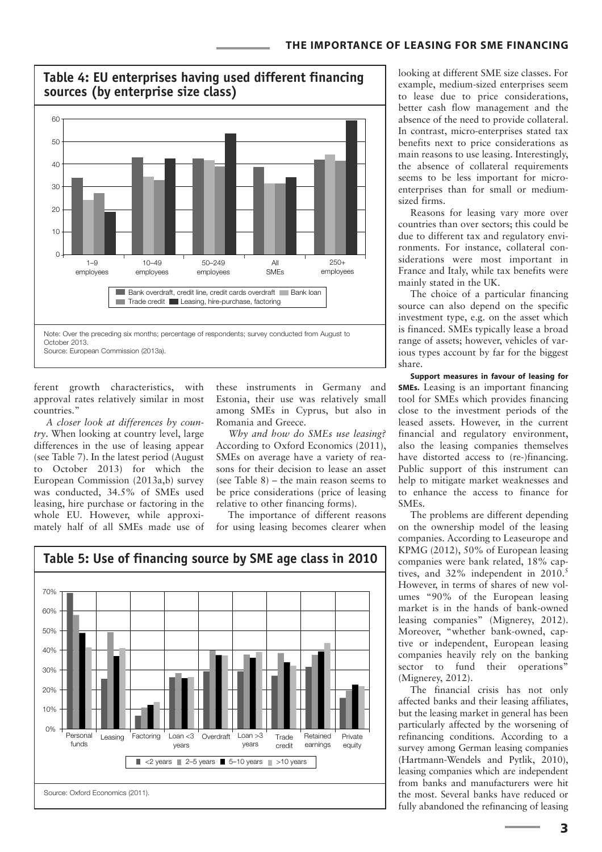

ferent growth characteristics, with approval rates relatively similar in most countries."

*A closer look at differences by country*. When looking at country level, large differences in the use of leasing appear (see Table 7). In the latest period (August to October 2013) for which the European Commission (2013a,b) survey was conducted, 34.5% of SMEs used leasing, hire purchase or factoring in the whole EU. However, while approximately half of all SMEs made use of these instruments in Germany and Estonia, their use was relatively small among SMEs in Cyprus, but also in Romania and Greece.

*Why and how do SMEs use leasing?* According to Oxford Economics (2011), SMEs on average have a variety of reasons for their decision to lease an asset (see Table 8) – the main reason seems to be price considerations (price of leasing relative to other financing forms).

The importance of different reasons for using leasing becomes clearer when



looking at different SME size classes. For example, medium-sized enterprises seem to lease due to price considerations, better cash flow management and the absence of the need to provide collateral. In contrast, micro-enterprises stated tax benefits next to price considerations as main reasons to use leasing. Interestingly, the absence of collateral requirements seems to be less important for microenterprises than for small or mediumsized firms.

Reasons for leasing vary more over countries than over sectors; this could be due to different tax and regulatory environments. For instance, collateral considerations were most important in France and Italy, while tax benefits were mainly stated in the UK.

The choice of a particular financing source can also depend on the specific investment type, e.g. on the asset which is financed. SMEs typically lease a broad range of assets; however, vehicles of various types account by far for the biggest share.

**Support measures in favour of leasing for SMEs.** Leasing is an important financing tool for SMEs which provides financing close to the investment periods of the leased assets. However, in the current financial and regulatory environment, also the leasing companies themselves have distorted access to (re-)financing. Public support of this instrument can help to mitigate market weaknesses and to enhance the access to finance for SMEs.

The problems are different depending on the ownership model of the leasing companies. According to Leaseurope and KPMG (2012), 50% of European leasing companies were bank related, 18% captives, and  $32\%$  independent in  $2010.^5$ However, in terms of shares of new volumes "90% of the European leasing market is in the hands of bank-owned leasing companies" (Mignerey, 2012). Moreover, "whether bank-owned, captive or independent, European leasing companies heavily rely on the banking sector to fund their operations" (Mignerey, 2012).

The financial crisis has not only affected banks and their leasing affiliates, but the leasing market in general has been particularly affected by the worsening of refinancing conditions. According to a survey among German leasing companies (Hartmann-Wendels and Pytlik, 2010), leasing companies which are independent from banks and manufacturers were hit the most. Several banks have reduced or fully abandoned the refinancing of leasing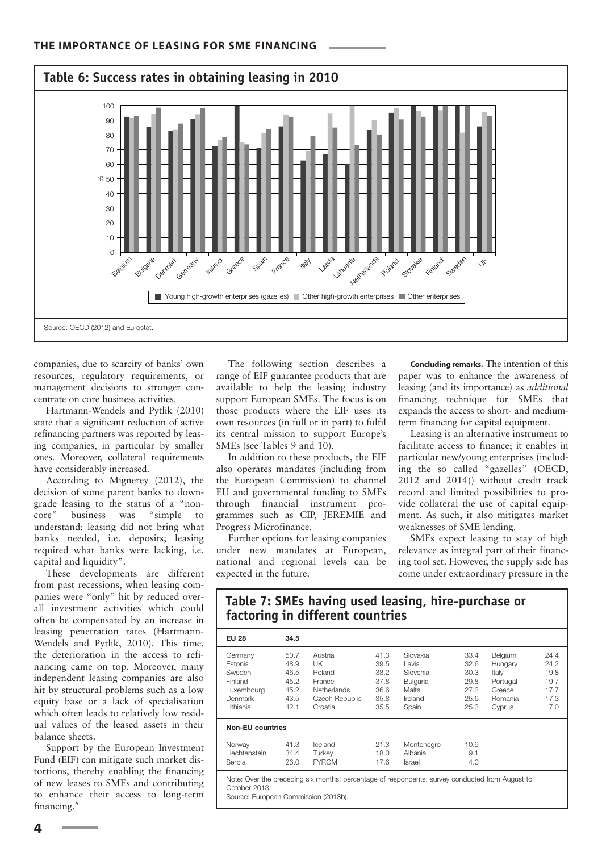

companies, due to scarcity of banks' own resources, regulatory requirements, or management decisions to stronger concentrate on core business activities.

Hartmann-Wendels and Pytlik (2010) state that a significant reduction of active refinancing partners was reported by leasing companies, in particular by smaller ones. Moreover, collateral requirements have considerably increased.

According to Mignerey (2012), the decision of some parent banks to downgrade leasing to the status of a "non-<br>core" business was "simple to core" business was understand: leasing did not bring what banks needed, i.e. deposits; leasing required what banks were lacking, i.e. capital and liquidity".

These developments are different from past recessions, when leasing companies were "only" hit by reduced overall investment activities which could often be compensated by an increase in leasing penetration rates (Hartmann-Wendels and Pytlik, 2010). This time, the deterioration in the access to refinancing came on top. Moreover, many independent leasing companies are also hit by structural problems such as a low equity base or a lack of specialisation which often leads to relatively low residual values of the leased assets in their balance sheets.

Support by the European Investment Fund (EIF) can mitigate such market distortions, thereby enabling the financing of new leases to SMEs and contributing to enhance their access to long-term financing.<sup>6</sup>

The following section describes a range of EIF guarantee products that are available to help the leasing industry support European SMEs. The focus is on those products where the EIF uses its own resources (in full or in part) to fulfil its central mission to support Europe's SMEs (see Tables 9 and 10).

In addition to these products, the EIF also operates mandates (including from the European Commission) to channel EU and governmental funding to SMEs through financial instrument programmes such as CIP, JEREMIE and Progress Microfinance.

Further options for leasing companies under new mandates at European, national and regional levels can be expected in the future.

**factoring in different countries**

**Concluding remarks.** The intention of this paper was to enhance the awareness of leasing (and its importance) as *additional* financing technique for SMEs that expands the access to short- and mediumterm financing for capital equipment.

Leasing is an alternative instrument to facilitate access to finance; it enables in particular new/young enterprises (including the so called "gazelles" (OECD, 2012 and 2014)) without credit track record and limited possibilities to provide collateral the use of capital equipment. As such, it also mitigates market weaknesses of SME lending.

SMEs expect leasing to stay of high relevance as integral part of their financing tool set. However, the supply side has come under extraordinary pressure in the

| -- 3                                                                                            |                                              |                                                                    |                                              |                                                                      |                                              |                                                              |                                              |
|-------------------------------------------------------------------------------------------------|----------------------------------------------|--------------------------------------------------------------------|----------------------------------------------|----------------------------------------------------------------------|----------------------------------------------|--------------------------------------------------------------|----------------------------------------------|
| <b>EU 28</b>                                                                                    | 34.5                                         |                                                                    |                                              |                                                                      |                                              |                                                              |                                              |
| Germany<br>Estonia<br>Sweden<br>Finland<br>Luxembourg<br>Denmark                                | 50.7<br>48.9<br>46.5<br>45.2<br>45.2<br>43.5 | Austria<br>UK<br>Poland<br>France<br>Netherlands<br>Czech Republic | 41.3<br>39.5<br>38.2<br>37.8<br>36.6<br>35.8 | Slovakia<br>Lavia<br>Slovenia<br><b>Bulgaria</b><br>Malta<br>Ireland | 33.4<br>32.6<br>30.3<br>29.8<br>27.3<br>25.6 | Belgium<br>Hungary<br>Italy<br>Portugal<br>Greece<br>Romania | 24.4<br>24.2<br>19.8<br>19.7<br>17.7<br>17.3 |
| Lithiania                                                                                       | 42.1                                         | Croatia                                                            | 35.5                                         | Spain                                                                | 25.3                                         | Cyprus                                                       | 7.0                                          |
| <b>Non-EU countries</b>                                                                         |                                              |                                                                    |                                              |                                                                      |                                              |                                                              |                                              |
| Norway<br>Liechtenstein<br>Serbia                                                               | 41.3<br>34.4<br>26.0                         | Iceland<br>Turkev<br><b>FYROM</b>                                  | 21.3<br>18.0<br>17.6                         | Montenegro<br>Albania<br>Israel                                      | 10.9<br>9.1<br>4.0                           |                                                              |                                              |
| Note: Over the preceding six months; percentage of respondents, survey conducted from August to |                                              |                                                                    |                                              |                                                                      |                                              |                                                              |                                              |

**Table 7: SMEs having used leasing, hire-purchase or** 

October 2013.

Source: European Commission (2013b).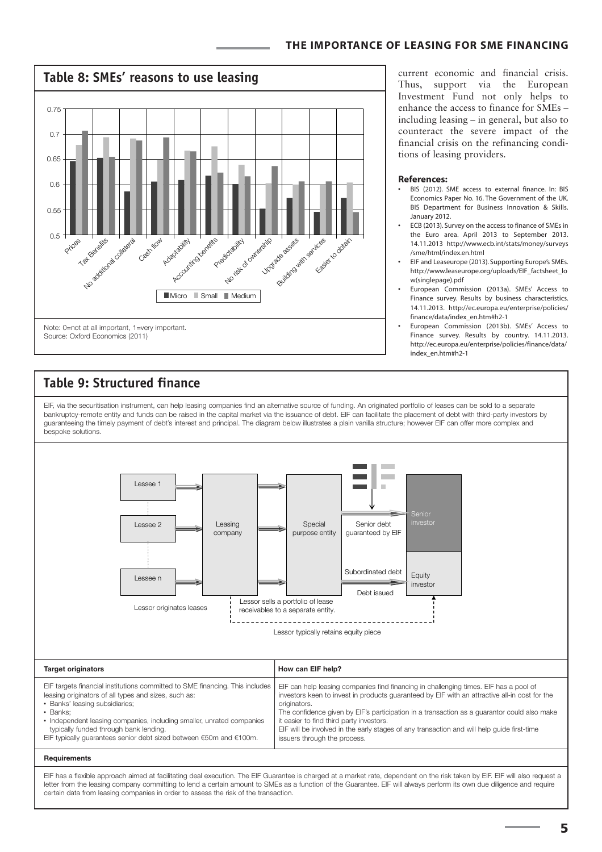

# **Table 9: Structured finance**

EIF, via the securitisation instrument, can help leasing companies find an alternative source of funding. An originated portfolio of leases can be sold to a separate bankruptcy-remote entity and funds can be raised in the capital market via the issuance of debt. EIF can facilitate the placement of debt with third-party investors by guaranteeing the timely payment of debt's interest and principal. The diagram below illustrates a plain vanilla structure; however EIF can offer more complex and bespoke solutions.



letter from the leasing company committing to lend a certain amount to SMEs as a function of the Guarantee. EIF will always perform its own due diligence and require certain data from leasing companies in order to assess the risk of the transaction.

current economic and financial crisis. Thus, support via the European Investment Fund not only helps to enhance the access to finance for SMEs – including leasing – in general, but also to counteract the severe impact of the financial crisis on the refinancing conditions of leasing providers.

#### **References:**

- BIS (2012). SME access to external finance. In: BIS Economics Paper No. 16. The Government of the UK. BIS Department for Business Innovation & Skills. January 2012.
- ECB (2013). Survey on the access to finance of SMEs in the Euro area. April 2013 to September 2013. 14.11.2013 http://www.ecb.int/stats/money/surveys /sme/html/index.en.html
- EIF and Leaseurope (2013). Supporting Europe's SMEs. http://www.leaseurope.org/uploads/EIF\_factsheet\_lo w(singlepage).pdf
- European Commission (2013a). SMEs' Access to Finance survey. Results by business characteristics. 14.11.2013. http://ec.europa.eu/enterprise/policies/ finance/data/index\_en.htm#h2-1
- European Commission (2013b). SMEs' Access to Finance survey. Results by country. 14.11.2013. http://ec.europa.eu/enterprise/policies/finance/data/ index\_en.htm#h2-1